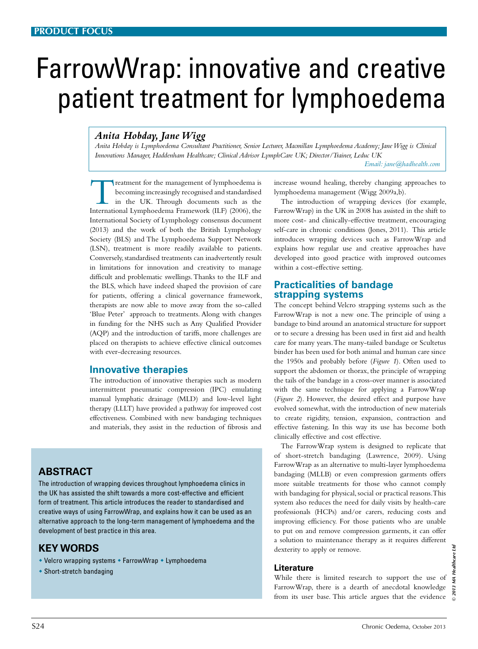# FarrowWrap: innovative and creative patient treatment for lymphoedema

# *Anita Hobday, Jane Wigg*

*Anita Hobday is Lymphoedema Consultant Practitioner, Senior Lecturer, Macmillan Lymphoedema Academy; Jane Wigg is Clinical Innovations Manager, Haddenham Healthcare; Clinical Advisor LymphCare UK; Director/Trainer, Leduc UK* 

*Email: jane@hadhealth.com*

Treatment for the management of lymphoedema is<br>
becoming increasingly recognised and standardised<br>
in the UK. Through documents such as the<br>
International Lymphoedema Framework (ILE) (2006) the becoming increasingly recognised and standardised International Lymphoedema Framework (ILF) (2006), the International Society of Lymphology consensus document (2013) and the work of both the British Lymphology Society (BLS) and The Lymphoedema Support Network (LSN), treatment is more readily available to patients. Conversely, standardised treatments can inadvertently result in limitations for innovation and creativity to manage difficult and problematic swellings. Thanks to the ILF and the BLS, which have indeed shaped the provision of care for patients, offering a clinical governance framework, therapists are now able to move away from the so-called 'Blue Peter' approach to treatments. Along with changes in funding for the NHS such as Any Qualified Provider (AQP) and the introduction of tariffs, more challenges are placed on therapists to achieve effective clinical outcomes with ever-decreasing resources.

# **Innovative therapies**

The introduction of innovative therapies such as modern intermittent pneumatic compression (IPC) emulating manual lymphatic drainage (MLD) and low-level light therapy (LLLT) have provided a pathway for improved cost effectiveness. Combined with new bandaging techniques and materials, they assist in the reduction of fibrosis and

# **Abstract**

The introduction of wrapping devices throughout lymphoedema clinics in the UK has assisted the shift towards a more cost-effective and efficient form of treatment. This article introduces the reader to standardised and creative ways of using FarrowWrap, and explains how it can be used as an alternative approach to the long-term management of lymphoedema and the development of best practice in this area.

# **KEY WORDS**

- Velcro wrapping systems FarrowWrap Lymphoedema
- $\bullet$  Short-stretch bandaging

increase wound healing, thereby changing approaches to lymphoedema management (Wigg 2009a,b).

The introduction of wrapping devices (for example, FarrowWrap) in the UK in 2008 has assisted in the shift to more cost- and clinically-effective treatment, encouraging self-care in chronic conditions (Jones, 2011). This article introduces wrapping devices such as FarrowWrap and explains how regular use and creative approaches have developed into good practice with improved outcomes within a cost-effective setting.

# **Practicalities of bandage strapping systems**

The concept behind Velcro strapping systems such as the FarrowWrap is not a new one. The principle of using a bandage to bind around an anatomical structure for support or to secure a dressing has been used in first aid and health care for many years. The many-tailed bandage or Scultetus binder has been used for both animal and human care since the 1950s and probably before (*Figure 1*). Often used to support the abdomen or thorax, the principle of wrapping the tails of the bandage in a cross-over manner is associated with the same technique for applying a FarrowWrap (*Figure 2*). However, the desired effect and purpose have evolved somewhat, with the introduction of new materials to create rigidity, tension, expansion, contraction and effective fastening. In this way its use has become both clinically effective and cost effective.

The FarrowWrap system is designed to replicate that of short-stretch bandaging (Lawrence, 2009). Using FarrowWrap as an alternative to multi-layer lymphoedema bandaging (MLLB) or even compression garments offers more suitable treatments for those who cannot comply with bandaging for physical, social or practical reasons. This system also reduces the need for daily visits by health-care professionals (HCPs) and/or carers, reducing costs and improving efficiency. For those patients who are unable to put on and remove compression garments, it can offer a solution to maintenance therapy as it requires different dexterity to apply or remove.

# **Literature**

While there is limited research to support the use of FarrowWrap, there is a dearth of anecdotal knowledge from its user base. This article argues that the evidence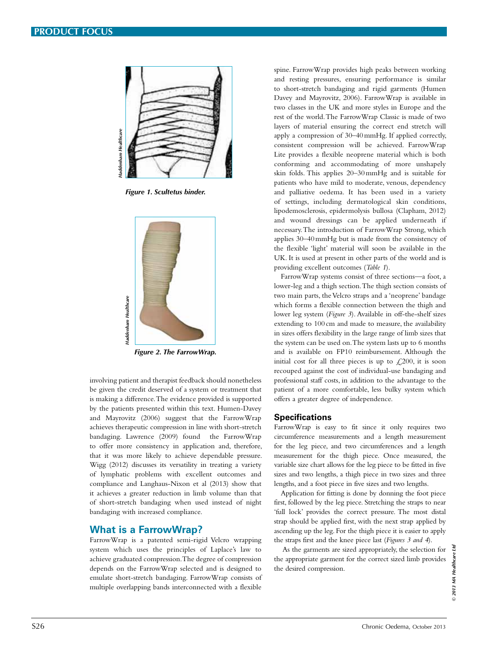

*Figure 1. Scultetus binder.*



*Figure 2. The FarrowWrap.*

involving patient and therapist feedback should nonetheless be given the credit deserved of a system or treatment that is making a difference. The evidence provided is supported by the patients presented within this text. Humen-Davey and Mayrovitz (2006) suggest that the FarrowWrap achieves therapeutic compression in line with short-stretch bandaging. Lawrence (2009) found the FarrowWrap to offer more consistency in application and, therefore, that it was more likely to achieve dependable pressure. Wigg (2012) discusses its versatility in treating a variety of lymphatic problems with excellent outcomes and compliance and Langhaus-Nixon et al (2013) show that it achieves a greater reduction in limb volume than that of short-stretch bandaging when used instead of night bandaging with increased compliance.

# **What is a FarrowWrap?**

FarrowWrap is a patented semi-rigid Velcro wrapping system which uses the principles of Laplace's law to achieve graduated compression. The degree of compression depends on the FarrowWrap selected and is designed to emulate short-stretch bandaging. FarrowWrap consists of multiple overlapping bands interconnected with a flexible

spine. FarrowWrap provides high peaks between working and resting pressures, ensuring performance is similar to short-stretch bandaging and rigid garments (Humen Davey and Mayrovitz, 2006). FarrowWrap is available in two classes in the UK and more styles in Europe and the rest of the world. The FarrowWrap Classic is made of two layers of material ensuring the correct end stretch will apply a compression of 30–40mmHg. If applied correctly, consistent compression will be achieved. FarrowWrap Lite provides a flexible neoprene material which is both conforming and accommodating of more unshapely skin folds. This applies 20–30mmHg and is suitable for patients who have mild to moderate, venous, dependency and palliative oedema. It has been used in a variety of settings, including dermatological skin conditions, lipodemosclerosis, epidermolysis bullosa (Clapham, 2012) and wound dressings can be applied underneath if necessary. The introduction of FarrowWrap Strong, which applies 30–40mmHg but is made from the consistency of the flexible 'light' material will soon be available in the UK. It is used at present in other parts of the world and is providing excellent outcomes (*Table 1*). Solution of  $\theta$  Chronic Chronic Oedera Chronic Oedera Chronic Oedera Chronic Chronic Chronic Chronic Chronic Chronic Chronic Chronic Chronic Chronic Chronic Chronic Chronic Chronic Chronic Chronic Chronic Chronic Chronic

FarrowWrap systems consist of three sections—a foot, a lower-leg and a thigh section. The thigh section consists of two main parts, the Velcro straps and a 'neoprene' bandage which forms a flexible connection between the thigh and lower leg system (*Figure 3*). Available in off-the-shelf sizes extending to 100 cm and made to measure, the availability in sizes offers flexibility in the large range of limb sizes that the system can be used on. The system lasts up to 6 months and is available on FP10 reimbursement. Although the initial cost for all three pieces is up to  $\angle 200$ , it is soon recouped against the cost of individual-use bandaging and professional staff costs, in addition to the advantage to the patient of a more comfortable, less bulky system which offers a greater degree of independence.

#### **Specifications**

FarrowWrap is easy to fit since it only requires two circumference measurements and a length measurement for the leg piece, and two circumferences and a length measurement for the thigh piece. Once measured, the variable size chart allows for the leg piece to be fitted in five sizes and two lengths, a thigh piece in two sizes and three lengths, and a foot piece in five sizes and two lengths.

Application for fitting is done by donning the foot piece first, followed by the leg piece. Stretching the straps to near 'full lock' provides the correct pressure. The most distal strap should be applied first, with the next strap applied by ascending up the leg. For the thigh piece it is easier to apply the straps first and the knee piece last (*Figures 3 and 4*).

 As the garments are sized appropriately, the selection for the appropriate garment for the correct sized limb provides the desired compression.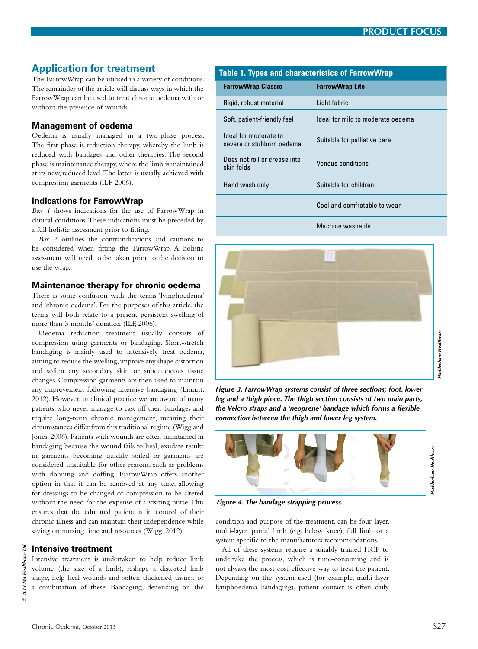# **Application for treatment**

The FarrowWrap can be utilised in a variety of conditions. The remainder of the article will discuss ways in which the FarrowWrap can be used to treat chronic oedema with or without the presence of wounds.

## **Management of oedema**

Oedema is usually managed in a two-phase process. The first phase is reduction therapy, whereby the limb is reduced with bandages and other therapies. The second phase is maintenance therapy, where the limb is maintained at its new, reduced level. The latter is usually achieved with compression garments (ILF, 2006).

## **Indications for FarrowWrap**

*Box 1* shows indications for the use of FarrowWrap in clinical conditions. These indications must be preceded by a full holistic assessment prior to fitting.

*Box 2* outlines the contraindications and cautions to be considered when fitting the FarrowWrap. A holistic assessment will need to be taken prior to the decision to use the wrap.

#### **Maintenance therapy for chronic oedema**

There is some confusion with the terms 'lymphoedema' and 'chronic oedema'. For the purposes of this article, the terms will both relate to a present persistent swelling of more than 3 months' duration (ILF, 2006).

Oedema reduction treatment usually consists of compression using garments or bandaging. Short-stretch bandaging is mainly used to intensively treat oedema, aiming to reduce the swelling, improve any shape distortion and soften any secondary skin or subcutaneous tissue changes. Compression garments are then used to maintain any improvement following intensive bandaging (Linnitt, 2012). However, in clinical practice we are aware of many patients who never manage to cast off their bandages and require long-term chronic management, meaning their circumstances differ from this traditional regime (Wigg and Jones, 2006). Patients with wounds are often maintained in bandaging because the wound fails to heal, exudate results in garments becoming quickly soiled or garments are considered unsuitable for other reasons, such as problems with donning and doffing. FarrowWrap offers another option in that it can be removed at any time, allowing for dressings to be changed or compression to be altered without the need for the expense of a visiting nurse. This ensures that the educated patient is in control of their chronic illness and can maintain their independence while saving on nursing time and resources (Wigg, 2012).

#### **Intensive treatment**

Intensive treatment is undertaken to help reduce limb volume (the size of a limb), reshape a distorted limb shape, help heal wounds and soften thickened tissues, or a combination of these. Bandaging, depending on the

| <b>Table 1. Types and characteristics of FarrowWrap</b> |                                                    |                                   |
|---------------------------------------------------------|----------------------------------------------------|-----------------------------------|
|                                                         | <b>FarrowWrap Classic</b>                          | <b>FarrowWrap Lite</b>            |
|                                                         | Rigid, robust material                             | Light fabric                      |
|                                                         | Soft, patient-friendly feel                        | Ideal for mild to moderate oedema |
|                                                         | Ideal for moderate to<br>severe or stubborn oedema | Suitable for palliative care      |
|                                                         | Does not roll or crease into<br>skin folds         | Venous conditions                 |
|                                                         | Hand wash only                                     | Suitable for children             |
|                                                         |                                                    | Cool and comfrotable to wear      |
|                                                         |                                                    | Machine washable                  |



*Figure 3. FarrowWrap systems consist of three sections; foot, lower leg and a thigh piece. The thigh section consists of two main parts,*  the Velcro straps and a 'neoprene' bandage which forms a flexible in Nelcro straps and a 'neoprene' bandage which forms a flexible connection between the thigh and lower leg system.



*Figure 4. The bandage strapping process.*

condition and purpose of the treatment, can be four-layer, multi-layer, partial limb (e.g. below knee), full limb or a system specific to the manufacturers recommendations.

All of these systems require a suitably trained HCP to undertake the process, which is time-consuming and is not always the most cost-effective way to treat the patient. Depending on the system used (for example, multi-layer lymphoedema bandaging), patient contact is often daily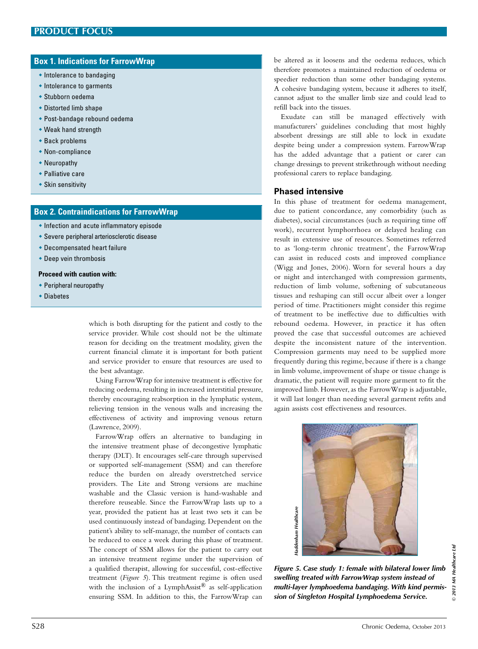# **Box 1. Indications for FarrowWrap**

- $\bullet$  Intolerance to bandaging
- $\bullet$  Intolerance to garments
- $\bullet$  Stubborn oedema
- $\bullet$  Distorted limb shape
- Post-bandage rebound oedema
- $\bullet$  Weak hand strength
- $\bullet$  Back problems
- $\bullet$  Non-compliance
- $\bullet$  Neuropathy
- $\bullet$  Palliative care
- $\bullet$  Skin sensitivity

#### **Box 2. Contraindications for FarrowWrap**

- $\bullet$  Infection and acute inflammatory episode
- $\bullet$  Severe peripheral arteriosclerotic disease
- $\bullet$  Decompensated heart failure
- $\bullet$  Deep vein thrombosis

#### **Proceed with caution with:**

- $\bullet$  Peripheral neuropathy
- $\bullet$  Diabetes

which is both disrupting for the patient and costly to the service provider. While cost should not be the ultimate reason for deciding on the treatment modality, given the current financial climate it is important for both patient and service provider to ensure that resources are used to the best advantage.

Using FarrowWrap for intensive treatment is effective for reducing oedema, resulting in increased interstitial pressure, thereby encouraging reabsorption in the lymphatic system, relieving tension in the venous walls and increasing the effectiveness of activity and improving venous return (Lawrence, 2009).

FarrowWrap offers an alternative to bandaging in the intensive treatment phase of decongestive lymphatic therapy (DLT). It encourages self-care through supervised or supported self-management (SSM) and can therefore reduce the burden on already overstretched service providers. The Lite and Strong versions are machine washable and the Classic version is hand-washable and therefore reuseable. Since the FarrowWrap lasts up to a year, provided the patient has at least two sets it can be used continuously instead of bandaging. Dependent on the patient's ability to self-manage, the number of contacts can be reduced to once a week during this phase of treatment. The concept of SSM allows for the patient to carry out an intensive treatment regime under the supervision of a qualified therapist, allowing for successful, cost-effective treatment (*Figure 5*). This treatment regime is often used with the inclusion of a LymphAssist® as self-application ensuring SSM. In addition to this, the FarrowWrap can

be altered as it loosens and the oedema reduces, which therefore promotes a maintained reduction of oedema or speedier reduction than some other bandaging systems. A cohesive bandaging system, because it adheres to itself, cannot adjust to the smaller limb size and could lead to refill back into the tissues.

Exudate can still be managed effectively with manufacturers' guidelines concluding that most highly absorbent dressings are still able to lock in exudate despite being under a compression system. FarrowWrap has the added advantage that a patient or carer can change dressings to prevent strikethrough without needing professional carers to replace bandaging.

#### **Phased intensive**

In this phase of treatment for oedema management, due to patient concordance, any comorbidity (such as diabetes), social circumstances (such as requiring time off work), recurrent lymphorrhoea or delayed healing can result in extensive use of resources. Sometimes referred to as 'long-term chronic treatment', the FarrowWrap can assist in reduced costs and improved compliance (Wigg and Jones, 2006). Worn for several hours a day or night and interchanged with compression garments, reduction of limb volume, softening of subcutaneous tissues and reshaping can still occur albeit over a longer period of time. Practitioners might consider this regime of treatment to be ineffective due to difficulties with rebound oedema. However, in practice it has often proved the case that successful outcomes are achieved despite the inconsistent nature of the intervention. Compression garments may need to be supplied more frequently during this regime, because if there is a change in limb volume, improvement of shape or tissue change is dramatic, the patient will require more garment to fit the improved limb. However, as the FarrowWrap is adjustable, it will last longer than needing several garment refits and again assists cost effectiveness and resources.



*Figure 5. Case study 1: female with bilateral lower limb swelling treated with FarrowWrap system instead of multi-layer lymphoedema bandaging. With kind permis-*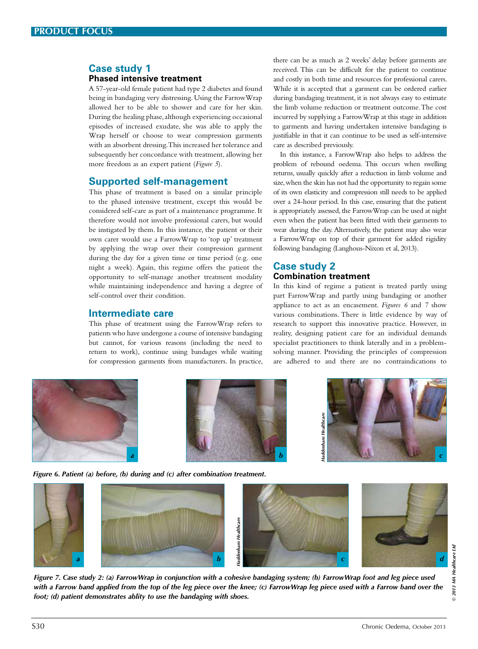## **Case study 1 Phased intensive treatment**

A 57-year-old female patient had type 2 diabetes and found being in bandaging very distressing. Using the FarrowWrap allowed her to be able to shower and care for her skin. During the healing phase, although experiencing occasional episodes of increased exudate, she was able to apply the Wrap herself or choose to wear compression garments with an absorbent dressing. This increased her tolerance and subsequently her concordance with treatment, allowing her more freedom as an expert patient (*Figure 5*).

# **Supported self-management**

This phase of treatment is based on a similar principle to the phased intensive treatment, except this would be considered self-care as part of a maintenance programme. It therefore would not involve professional carers, but would be instigated by them. In this instance, the patient or their own carer would use a FarrowWrap to 'top up' treatment by applying the wrap over their compression garment during the day for a given time or time period (e.g. one night a week). Again, this regime offers the patient the opportunity to self-manage another treatment modality while maintaining independence and having a degree of self-control over their condition.

# **Intermediate care**

This phase of treatment using the FarrowWrap refers to patients who have undergone a course of intensive bandaging but cannot, for various reasons (including the need to return to work), continue using bandages while waiting for compression garments from manufacturers. In practice,

there can be as much as 2 weeks' delay before garments are received. This can be difficult for the patient to continue and costly in both time and resources for professional carers. While it is accepted that a garment can be ordered earlier during bandaging treatment, it is not always easy to estimate the limb volume reduction or treatment outcome. The cost incurred by supplying a FarrowWrap at this stage in addition to garments and having undertaken intensive bandaging is justifiable in that it can continue to be used as self-intensive care as described previously.

In this instance, a FarrowWrap also helps to address the problem of rebound oedema. This occurs when swelling returns, usually quickly after a reduction in limb volume and size, when the skin has not had the opportunity to regain some of its own elasticity and compression still needs to be applied over a 24-hour period. In this case, ensuring that the patient is appropriately assessed, the FarrowWrap can be used at night even when the patient has been fitted with their garments to wear during the day. Alternatively, the patient may also wear a FarrowWrap on top of their garment for added rigidity following bandaging (Langhous-Nixon et al, 2013).

# **Case study 2 Combination treatment**

In this kind of regime a patient is treated partly using part FarrowWrap and partly using bandaging or another appliance to act as an encasement. *Figures 6* and *7* show various combinations. There is little evidence by way of research to support this innovative practice. However, in reality, designing patient care for an individual demands specialist practitioners to think laterally and in a problemsolving manner. Providing the principles of compression are adhered to and there are no contraindications to



*Figure 6. Patient (a) before, (b) during and (c) after combination treatment.*



*Figure 7. Case study 2: (a) FarrowWrap in conjunction with a cohesive bandaging system; (b) FarrowWrap foot and leg piece used with a Farrow band applied from the top of the leg piece over the knee; (c) FarrowWrap leg piece used with a Farrow band over the foot; (d) patient demonstrates ablity to use the bandaging with shoes.*